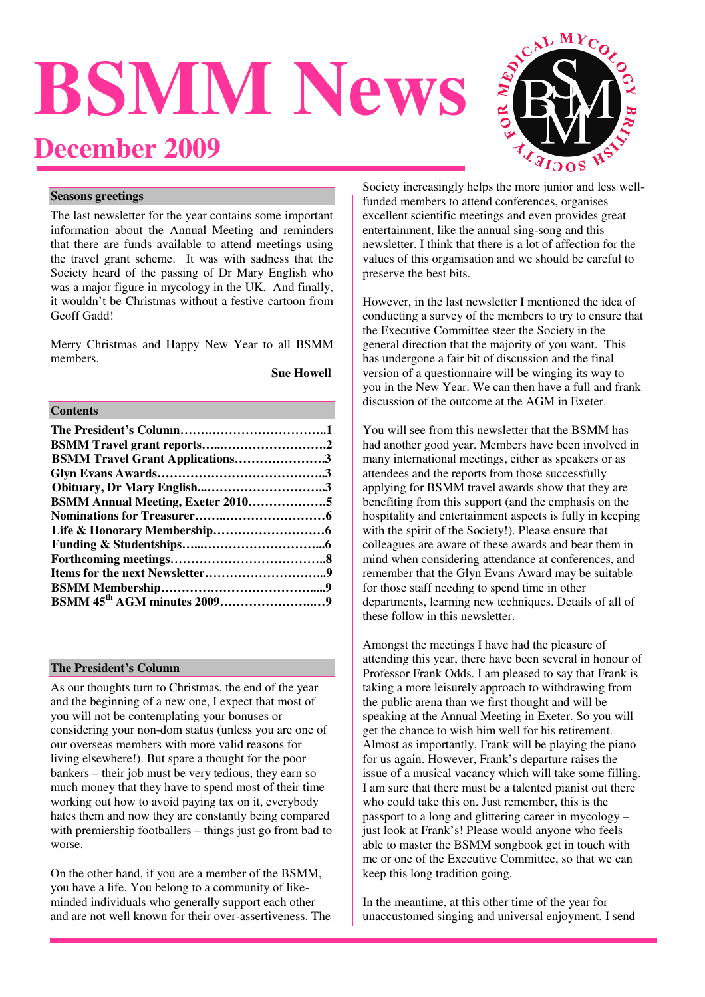# **BSMM News December 2009**



# **Seasons greetings**

The last newsletter for the year contains some important information about the Annual Meeting and reminders that there are funds available to attend meetings using the travel grant scheme. It was with sadness that the Society heard of the passing of Dr Mary English who was a major figure in mycology in the UK. And finally, it wouldn't be Christmas without a festive cartoon from Geoff Gadd!

Merry Christmas and Happy New Year to all BSMM members.

 **Sue Howell** 

#### **Contents**

| <b>BSMM Travel Grant Applications3</b>         |  |
|------------------------------------------------|--|
|                                                |  |
|                                                |  |
| <b>BSMM Annual Meeting, Exeter 20105</b>       |  |
|                                                |  |
|                                                |  |
|                                                |  |
|                                                |  |
|                                                |  |
|                                                |  |
| <b>BSMM 45<sup>th</sup> AGM minutes 2009</b> 9 |  |

#### **The President's Column**

As our thoughts turn to Christmas, the end of the year and the beginning of a new one, I expect that most of you will not be contemplating your bonuses or considering your non-dom status (unless you are one of our overseas members with more valid reasons for living elsewhere!). But spare a thought for the poor bankers – their job must be very tedious, they earn so much money that they have to spend most of their time working out how to avoid paying tax on it, everybody hates them and now they are constantly being compared with premiership footballers – things just go from bad to worse.

On the other hand, if you are a member of the BSMM, you have a life. You belong to a community of likeminded individuals who generally support each other and are not well known for their over-assertiveness. The Society increasingly helps the more junior and less wellfunded members to attend conferences, organises excellent scientific meetings and even provides great entertainment, like the annual sing-song and this newsletter. I think that there is a lot of affection for the values of this organisation and we should be careful to preserve the best bits.

However, in the last newsletter I mentioned the idea of conducting a survey of the members to try to ensure that the Executive Committee steer the Society in the general direction that the majority of you want. This has undergone a fair bit of discussion and the final version of a questionnaire will be winging its way to you in the New Year. We can then have a full and frank discussion of the outcome at the AGM in Exeter.

You will see from this newsletter that the BSMM has had another good year. Members have been involved in many international meetings, either as speakers or as attendees and the reports from those successfully applying for BSMM travel awards show that they are benefiting from this support (and the emphasis on the hospitality and entertainment aspects is fully in keeping with the spirit of the Society!). Please ensure that colleagues are aware of these awards and bear them in mind when considering attendance at conferences, and remember that the Glyn Evans Award may be suitable for those staff needing to spend time in other departments, learning new techniques. Details of all of these follow in this newsletter.

Amongst the meetings I have had the pleasure of attending this year, there have been several in honour of Professor Frank Odds. I am pleased to say that Frank is taking a more leisurely approach to withdrawing from the public arena than we first thought and will be speaking at the Annual Meeting in Exeter. So you will get the chance to wish him well for his retirement. Almost as importantly, Frank will be playing the piano for us again. However, Frank's departure raises the issue of a musical vacancy which will take some filling. I am sure that there must be a talented pianist out there who could take this on. Just remember, this is the passport to a long and glittering career in mycology – just look at Frank's! Please would anyone who feels able to master the BSMM songbook get in touch with me or one of the Executive Committee, so that we can keep this long tradition going.

In the meantime, at this other time of the year for unaccustomed singing and universal enjoyment, I send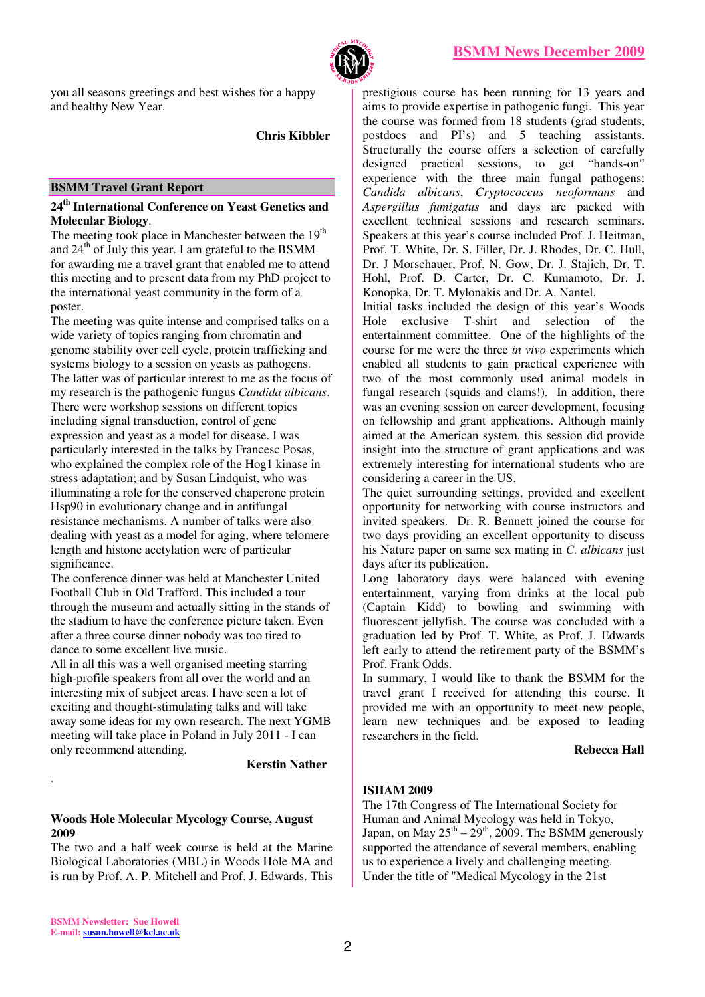

you all seasons greetings and best wishes for a happy and healthy New Year.

 **Chris Kibbler** 

# **BSMM Travel Grant Report**

#### **24th International Conference on Yeast Genetics and Molecular Biology**.

The meeting took place in Manchester between the  $19<sup>th</sup>$ and  $24<sup>th</sup>$  of July this year. I am grateful to the BSMM for awarding me a travel grant that enabled me to attend this meeting and to present data from my PhD project to the international yeast community in the form of a poster.

The meeting was quite intense and comprised talks on a wide variety of topics ranging from chromatin and genome stability over cell cycle, protein trafficking and systems biology to a session on yeasts as pathogens. The latter was of particular interest to me as the focus of my research is the pathogenic fungus *Candida albicans*. There were workshop sessions on different topics including signal transduction, control of gene expression and yeast as a model for disease. I was particularly interested in the talks by Francesc Posas, who explained the complex role of the Hog1 kinase in stress adaptation; and by Susan Lindquist, who was illuminating a role for the conserved chaperone protein Hsp90 in evolutionary change and in antifungal resistance mechanisms. A number of talks were also dealing with yeast as a model for aging, where telomere length and histone acetylation were of particular significance.

The conference dinner was held at Manchester United Football Club in Old Trafford. This included a tour through the museum and actually sitting in the stands of the stadium to have the conference picture taken. Even after a three course dinner nobody was too tired to dance to some excellent live music.

All in all this was a well organised meeting starring high-profile speakers from all over the world and an interesting mix of subject areas. I have seen a lot of exciting and thought-stimulating talks and will take away some ideas for my own research. The next YGMB meeting will take place in Poland in July 2011 - I can only recommend attending.

 **Kerstin Nather** 

# **Woods Hole Molecular Mycology Course, August 2009**

The two and a half week course is held at the Marine Biological Laboratories (MBL) in Woods Hole MA and is run by Prof. A. P. Mitchell and Prof. J. Edwards. This prestigious course has been running for 13 years and aims to provide expertise in pathogenic fungi. This year the course was formed from 18 students (grad students, postdocs and PI's) and 5 teaching assistants. Structurally the course offers a selection of carefully designed practical sessions, to get "hands-on" experience with the three main fungal pathogens: *Candida albicans*, *Cryptococcus neoformans* and *Aspergillus fumigatus* and days are packed with excellent technical sessions and research seminars. Speakers at this year's course included Prof. J. Heitman, Prof. T. White, Dr. S. Filler, Dr. J. Rhodes, Dr. C. Hull, Dr. J Morschauer, Prof, N. Gow, Dr. J. Stajich, Dr. T. Hohl, Prof. D. Carter, Dr. C. Kumamoto, Dr. J. Konopka, Dr. T. Mylonakis and Dr. A. Nantel.

Initial tasks included the design of this year's Woods Hole exclusive T-shirt and selection of the entertainment committee. One of the highlights of the course for me were the three *in vivo* experiments which enabled all students to gain practical experience with two of the most commonly used animal models in fungal research (squids and clams!). In addition, there was an evening session on career development, focusing on fellowship and grant applications. Although mainly aimed at the American system, this session did provide insight into the structure of grant applications and was extremely interesting for international students who are considering a career in the US.

The quiet surrounding settings, provided and excellent opportunity for networking with course instructors and invited speakers. Dr. R. Bennett joined the course for two days providing an excellent opportunity to discuss his Nature paper on same sex mating in *C. albicans* just days after its publication.

Long laboratory days were balanced with evening entertainment, varying from drinks at the local pub (Captain Kidd) to bowling and swimming with fluorescent jellyfish. The course was concluded with a graduation led by Prof. T. White, as Prof. J. Edwards left early to attend the retirement party of the BSMM's Prof. Frank Odds.

In summary, I would like to thank the BSMM for the travel grant I received for attending this course. It provided me with an opportunity to meet new people, learn new techniques and be exposed to leading researchers in the field.

 **Rebecca Hall** 

# **ISHAM 2009**

The 17th Congress of The International Society for Human and Animal Mycology was held in Tokyo, Japan, on May  $25^{th} - 29^{th}$ , 2009. The BSMM generously supported the attendance of several members, enabling us to experience a lively and challenging meeting. Under the title of "Medical Mycology in the 21st

.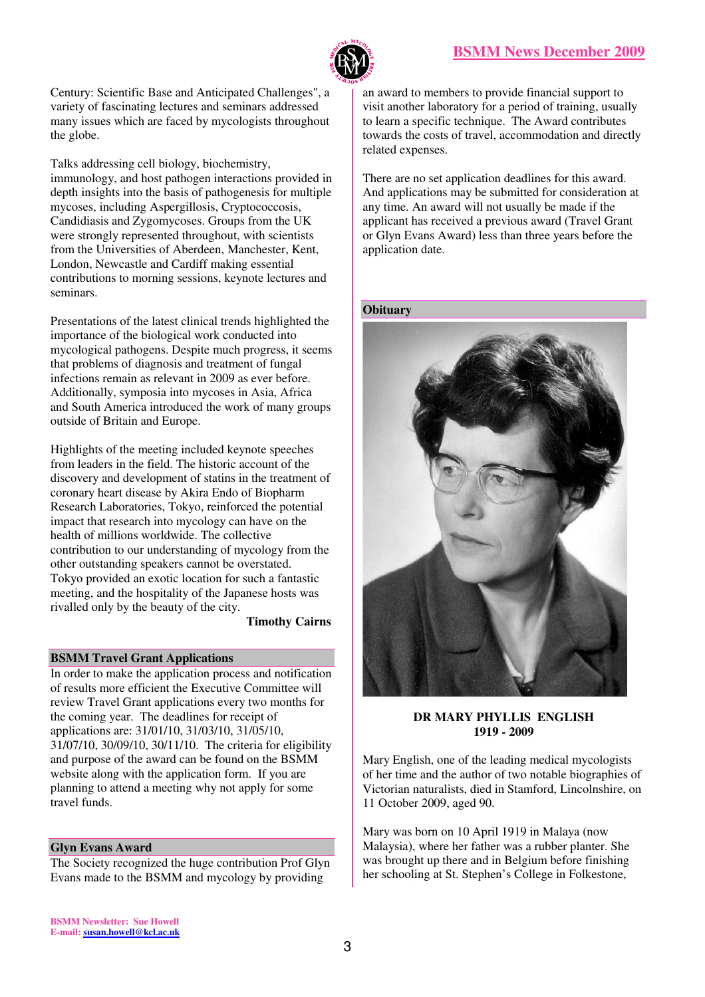

Century: Scientific Base and Anticipated Challenges", a variety of fascinating lectures and seminars addressed many issues which are faced by mycologists throughout the globe.

Talks addressing cell biology, biochemistry, immunology, and host pathogen interactions provided in depth insights into the basis of pathogenesis for multiple mycoses, including Aspergillosis, Cryptococcosis, Candidiasis and Zygomycoses. Groups from the UK were strongly represented throughout, with scientists from the Universities of Aberdeen, Manchester, Kent, London, Newcastle and Cardiff making essential contributions to morning sessions, keynote lectures and seminars.

Presentations of the latest clinical trends highlighted the importance of the biological work conducted into mycological pathogens. Despite much progress, it seems that problems of diagnosis and treatment of fungal infections remain as relevant in 2009 as ever before. Additionally, symposia into mycoses in Asia, Africa and South America introduced the work of many groups outside of Britain and Europe.

Highlights of the meeting included keynote speeches from leaders in the field. The historic account of the discovery and development of statins in the treatment of coronary heart disease by Akira Endo of Biopharm Research Laboratories, Tokyo, reinforced the potential impact that research into mycology can have on the health of millions worldwide. The collective contribution to our understanding of mycology from the other outstanding speakers cannot be overstated. Tokyo provided an exotic location for such a fantastic meeting, and the hospitality of the Japanese hosts was rivalled only by the beauty of the city.

 **Timothy Cairns** 

# **BSMM Travel Grant Applications**

In order to make the application process and notification of results more efficient the Executive Committee will review Travel Grant applications every two months for the coming year. The deadlines for receipt of applications are: 31/01/10, 31/03/10, 31/05/10, 31/07/10, 30/09/10, 30/11/10. The criteria for eligibility and purpose of the award can be found on the BSMM website along with the application form. If you are planning to attend a meeting why not apply for some travel funds.

# **Glyn Evans Award**

The Society recognized the huge contribution Prof Glyn Evans made to the BSMM and mycology by providing

an award to members to provide financial support to visit another laboratory for a period of training, usually to learn a specific technique. The Award contributes towards the costs of travel, accommodation and directly related expenses.

There are no set application deadlines for this award. And applications may be submitted for consideration at any time. An award will not usually be made if the applicant has received a previous award (Travel Grant or Glyn Evans Award) less than three years before the application date.

# **Obituary**



**DR MARY PHYLLIS ENGLISH 1919 - 2009** 

Mary English, one of the leading medical mycologists of her time and the author of two notable biographies of Victorian naturalists, died in Stamford, Lincolnshire, on 11 October 2009, aged 90.

Mary was born on 10 April 1919 in Malaya (now Malaysia), where her father was a rubber planter. She was brought up there and in Belgium before finishing her schooling at St. Stephen's College in Folkestone,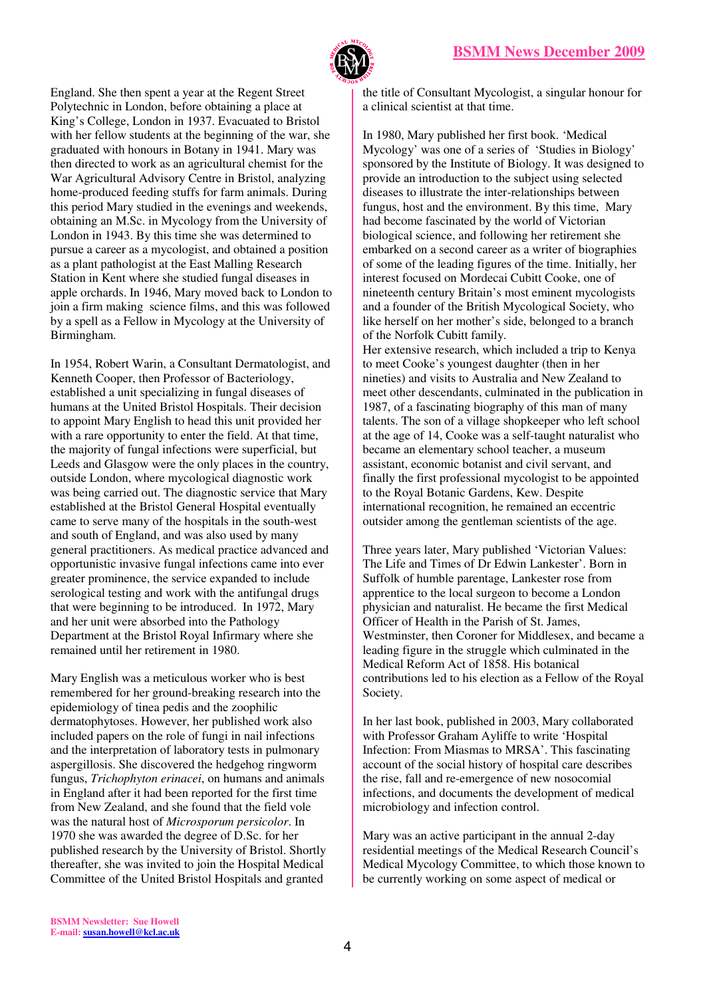

England. She then spent a year at the Regent Street Polytechnic in London, before obtaining a place at King's College, London in 1937. Evacuated to Bristol with her fellow students at the beginning of the war, she graduated with honours in Botany in 1941. Mary was then directed to work as an agricultural chemist for the War Agricultural Advisory Centre in Bristol, analyzing home-produced feeding stuffs for farm animals. During this period Mary studied in the evenings and weekends, obtaining an M.Sc. in Mycology from the University of London in 1943. By this time she was determined to pursue a career as a mycologist, and obtained a position as a plant pathologist at the East Malling Research Station in Kent where she studied fungal diseases in apple orchards. In 1946, Mary moved back to London to join a firm making science films, and this was followed by a spell as a Fellow in Mycology at the University of Birmingham.

In 1954, Robert Warin, a Consultant Dermatologist, and Kenneth Cooper, then Professor of Bacteriology, established a unit specializing in fungal diseases of humans at the United Bristol Hospitals. Their decision to appoint Mary English to head this unit provided her with a rare opportunity to enter the field. At that time, the majority of fungal infections were superficial, but Leeds and Glasgow were the only places in the country, outside London, where mycological diagnostic work was being carried out. The diagnostic service that Mary established at the Bristol General Hospital eventually came to serve many of the hospitals in the south-west and south of England, and was also used by many general practitioners. As medical practice advanced and opportunistic invasive fungal infections came into ever greater prominence, the service expanded to include serological testing and work with the antifungal drugs that were beginning to be introduced. In 1972, Mary and her unit were absorbed into the Pathology Department at the Bristol Royal Infirmary where she remained until her retirement in 1980.

Mary English was a meticulous worker who is best remembered for her ground-breaking research into the epidemiology of tinea pedis and the zoophilic dermatophytoses. However, her published work also included papers on the role of fungi in nail infections and the interpretation of laboratory tests in pulmonary aspergillosis. She discovered the hedgehog ringworm fungus, *Trichophyton erinacei*, on humans and animals in England after it had been reported for the first time from New Zealand, and she found that the field vole was the natural host of *Microsporum persicolor*. In 1970 she was awarded the degree of D.Sc. for her published research by the University of Bristol. Shortly thereafter, she was invited to join the Hospital Medical Committee of the United Bristol Hospitals and granted

the title of Consultant Mycologist, a singular honour for a clinical scientist at that time.

In 1980, Mary published her first book. 'Medical Mycology' was one of a series of 'Studies in Biology' sponsored by the Institute of Biology. It was designed to provide an introduction to the subject using selected diseases to illustrate the inter-relationships between fungus, host and the environment. By this time, Mary had become fascinated by the world of Victorian biological science, and following her retirement she embarked on a second career as a writer of biographies of some of the leading figures of the time. Initially, her interest focused on Mordecai Cubitt Cooke, one of nineteenth century Britain's most eminent mycologists and a founder of the British Mycological Society, who like herself on her mother's side, belonged to a branch of the Norfolk Cubitt family.

Her extensive research, which included a trip to Kenya to meet Cooke's youngest daughter (then in her nineties) and visits to Australia and New Zealand to meet other descendants, culminated in the publication in 1987, of a fascinating biography of this man of many talents. The son of a village shopkeeper who left school at the age of 14, Cooke was a self-taught naturalist who became an elementary school teacher, a museum assistant, economic botanist and civil servant, and finally the first professional mycologist to be appointed to the Royal Botanic Gardens, Kew. Despite international recognition, he remained an eccentric outsider among the gentleman scientists of the age.

Three years later, Mary published 'Victorian Values: The Life and Times of Dr Edwin Lankester'. Born in Suffolk of humble parentage, Lankester rose from apprentice to the local surgeon to become a London physician and naturalist. He became the first Medical Officer of Health in the Parish of St. James, Westminster, then Coroner for Middlesex, and became a leading figure in the struggle which culminated in the Medical Reform Act of 1858. His botanical contributions led to his election as a Fellow of the Royal Society.

In her last book, published in 2003, Mary collaborated with Professor Graham Ayliffe to write 'Hospital Infection: From Miasmas to MRSA'. This fascinating account of the social history of hospital care describes the rise, fall and re-emergence of new nosocomial infections, and documents the development of medical microbiology and infection control.

Mary was an active participant in the annual 2-day residential meetings of the Medical Research Council's Medical Mycology Committee, to which those known to be currently working on some aspect of medical or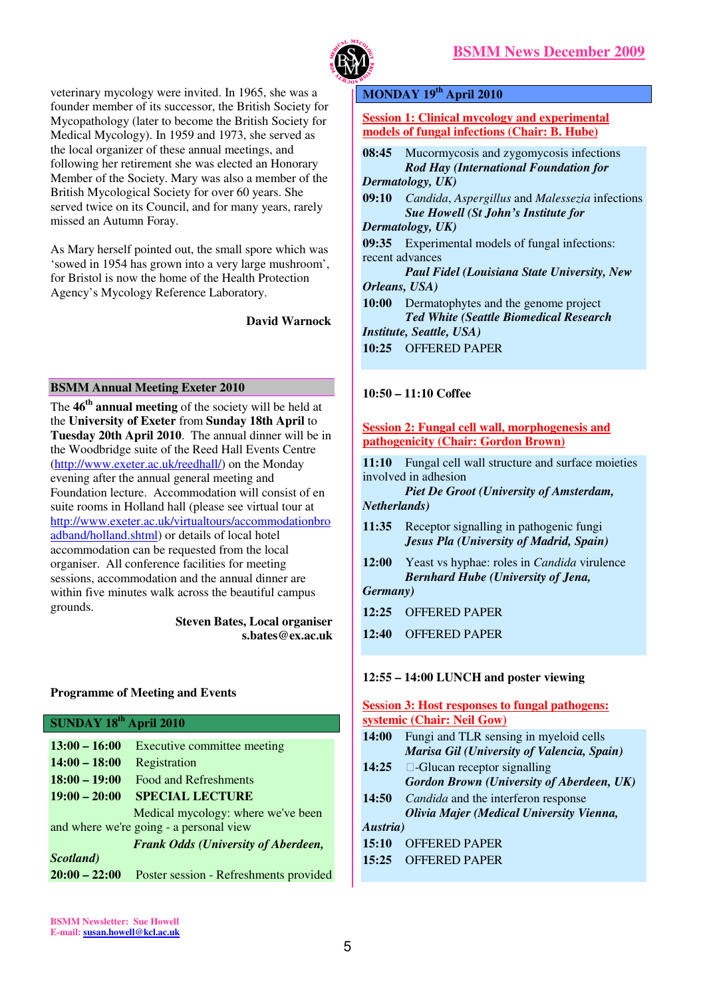

veterinary mycology were invited. In 1965, she was a founder member of its successor, the British Society for Mycopathology (later to become the British Society for Medical Mycology). In 1959 and 1973, she served as the local organizer of these annual meetings, and following her retirement she was elected an Honorary Member of the Society. Mary was also a member of the British Mycological Society for over 60 years. She served twice on its Council, and for many years, rarely missed an Autumn Foray.

As Mary herself pointed out, the small spore which was 'sowed in 1954 has grown into a very large mushroom', for Bristol is now the home of the Health Protection Agency's Mycology Reference Laboratory.

 **David Warnock** 

# **BSMM Annual Meeting Exeter 2010**

The **46th annual meeting** of the society will be held at the **University of Exeter** from **Sunday 18th April** to **Tuesday 20th April 2010**. The annual dinner will be in the Woodbridge suite of the Reed Hall Events Centre (http://www.exeter.ac.uk/reedhall/) on the Monday evening after the annual general meeting and Foundation lecture. Accommodation will consist of en suite rooms in Holland hall (please see virtual tour at http://www.exeter.ac.uk/virtualtours/accommodationbro adband/holland.shtml) or details of local hotel accommodation can be requested from the local organiser. All conference facilities for meeting sessions, accommodation and the annual dinner are within five minutes walk across the beautiful campus grounds.

> **Steven Bates, Local organiser s.bates@ex.ac.uk**

# **Programme of Meeting and Events**

# **SUNDAY 18th April 2010**

| $13:00 - 16:00$ | Executive committee meeting                |
|-----------------|--------------------------------------------|
| $14:00 - 18:00$ | Registration                               |
| $18:00 - 19:00$ | <b>Food and Refreshments</b>               |
| $19:00 - 20:00$ | <b>SPECIAL LECTURE</b>                     |
|                 | Medical mycology: where we've been         |
|                 | and where we're going - a personal view    |
|                 | <b>Frank Odds (University of Aberdeen,</b> |
| Scotland)       |                                            |
| $20:00 - 22:00$ | Poster session - Refreshments provided     |

#### **MONDAY 19th April 2010**

**Session 1: Clinical mycology and experimental models of fungal infections (Chair: B. Hube)**

**08:45** Mucormycosis and zygomycosis infections *Rod Hay (International Foundation for Dermatology, UK)* **09:10** *Candida*, *Aspergillus* and *Malessezia* infections *Sue Howell (St John's Institute for Dermatology, UK)*  **09:35** Experimental models of fungal infections: recent advances *Paul Fidel (Louisiana State University, New Orleans, USA)*  **10:00** Dermatophytes and the genome project *Ted White (Seattle Biomedical Research Institute, Seattle, USA)*

**10:25** OFFERED PAPER

#### **10:50 – 11:10 Coffee**

**Session 2: Fungal cell wall, morphogenesis and pathogenicity (Chair: Gordon Brown)**

**11:10** Fungal cell wall structure and surface moieties involved in adhesion

*Piet De Groot (University of Amsterdam, Netherlands)* 

**11:35** Receptor signalling in pathogenic fungi *Jesus Pla (University of Madrid, Spain)* 

**12:00** Yeast vs hyphae: roles in *Candida* virulence *Bernhard Hube (University of Jena,* 

*Germany)* 

**12:25** OFFERED PAPER

**12:40** OFFERED PAPER

#### **12:55 – 14:00 LUNCH and poster viewing**

| <b>Session 3: Host responses to fungal pathogens:</b><br>systemic (Chair: Neil Gow) |                                                                                      |  |  |  |
|-------------------------------------------------------------------------------------|--------------------------------------------------------------------------------------|--|--|--|
| 14:00                                                                               | Fungi and TLR sensing in myeloid cells<br>Marisa Gil (University of Valencia, Spain) |  |  |  |
| 14:25                                                                               | -Glucan receptor signalling<br><b>Gordon Brown (University of Aberdeen, UK)</b>      |  |  |  |
| 14:50                                                                               | Candida and the interferon response<br>Olivia Majer (Medical University Vienna,      |  |  |  |
| Austria)                                                                            |                                                                                      |  |  |  |
| 15:10                                                                               | <b>OFFERED PAPER</b>                                                                 |  |  |  |
|                                                                                     | 15:25 OFFERED PAPER                                                                  |  |  |  |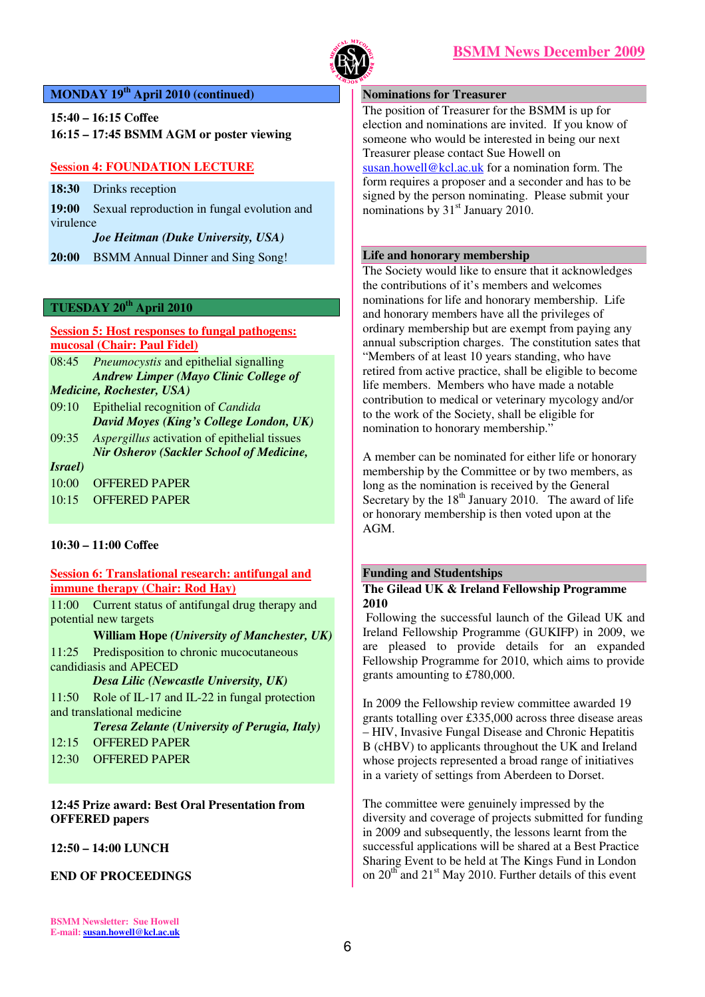

# **MONDAY 19th April 2010 (continued)**

**15:40 – 16:15 Coffee 16:15 – 17:45 BSMM AGM or poster viewing** 

# **Sess**i**on 4: FOUNDATION LECTURE**

| 18:30 |  | Drinks reception |
|-------|--|------------------|
|-------|--|------------------|

**19:00** Sexual reproduction in fungal evolution and virulence

*Joe Heitman (Duke University, USA)*

**20:00** BSMM Annual Dinner and Sing Song!

# **TUESDAY 20th April 2010**

**Session 5: Host responses to fungal pathogens: mucosal (Chair: Paul Fidel)**

- 08:45 *Pneumocystis* and epithelial signalling *Andrew Limper (Mayo Clinic College of Medicine, Rochester, USA)*
- 09:10 Epithelial recognition of *Candida David Moyes (King's College London, UK)*
- 09:35 *Aspergillus* activation of epithelial tissues *Nir Osherov (Sackler School of Medicine,*

# *Israel)*

10:00 OFFERED PAPER

10:15 OFFERED PAPER

# **10:30 – 11:00 Coffee**

# **Session 6: Translational research: antifungal and immune therapy (Chair: Rod Hay)**

11:00 Current status of antifungal drug therapy and potential new targets

#### **William Hope** *(University of Manchester, UK)*

11:25 Predisposition to chronic mucocutaneous candidiasis and APECED *Desa Lilic (Newcastle University, UK)* 

11:50 Role of IL-17 and IL-22 in fungal protection

and translational medicine

*Teresa Zelante (University of Perugia, Italy)* 

- 12:15 OFFERED PAPER
- 12:30 OFFERED PAPER

# **12:45 Prize award: Best Oral Presentation from OFFERED papers**

**12:50 – 14:00 LUNCH** 

# **END OF PROCEEDINGS**

# **Nominations for Treasurer**

The position of Treasurer for the BSMM is up for election and nominations are invited. If you know of someone who would be interested in being our next Treasurer please contact Sue Howell on susan.howell@kcl.ac.uk for a nomination form. The form requires a proposer and a seconder and has to be signed by the person nominating. Please submit your nominations by  $31<sup>st</sup>$  January 2010.

#### **Life and honorary membership**

The Society would like to ensure that it acknowledges the contributions of it's members and welcomes nominations for life and honorary membership. Life and honorary members have all the privileges of ordinary membership but are exempt from paying any annual subscription charges. The constitution sates that "Members of at least 10 years standing, who have retired from active practice, shall be eligible to become life members. Members who have made a notable contribution to medical or veterinary mycology and/or to the work of the Society, shall be eligible for nomination to honorary membership."

A member can be nominated for either life or honorary membership by the Committee or by two members, as long as the nomination is received by the General Secretary by the 18<sup>th</sup> January 2010. The award of life or honorary membership is then voted upon at the AGM.

# **Funding and Studentships**

#### **The Gilead UK & Ireland Fellowship Programme 2010**

Following the successful launch of the Gilead UK and Ireland Fellowship Programme (GUKIFP) in 2009, we are pleased to provide details for an expanded Fellowship Programme for 2010, which aims to provide grants amounting to £780,000.

In 2009 the Fellowship review committee awarded 19 grants totalling over £335,000 across three disease areas – HIV, Invasive Fungal Disease and Chronic Hepatitis B (cHBV) to applicants throughout the UK and Ireland whose projects represented a broad range of initiatives in a variety of settings from Aberdeen to Dorset.

The committee were genuinely impressed by the diversity and coverage of projects submitted for funding in 2009 and subsequently, the lessons learnt from the successful applications will be shared at a Best Practice Sharing Event to be held at The Kings Fund in London on  $20<sup>th</sup>$  and  $21<sup>st</sup>$  May 2010. Further details of this event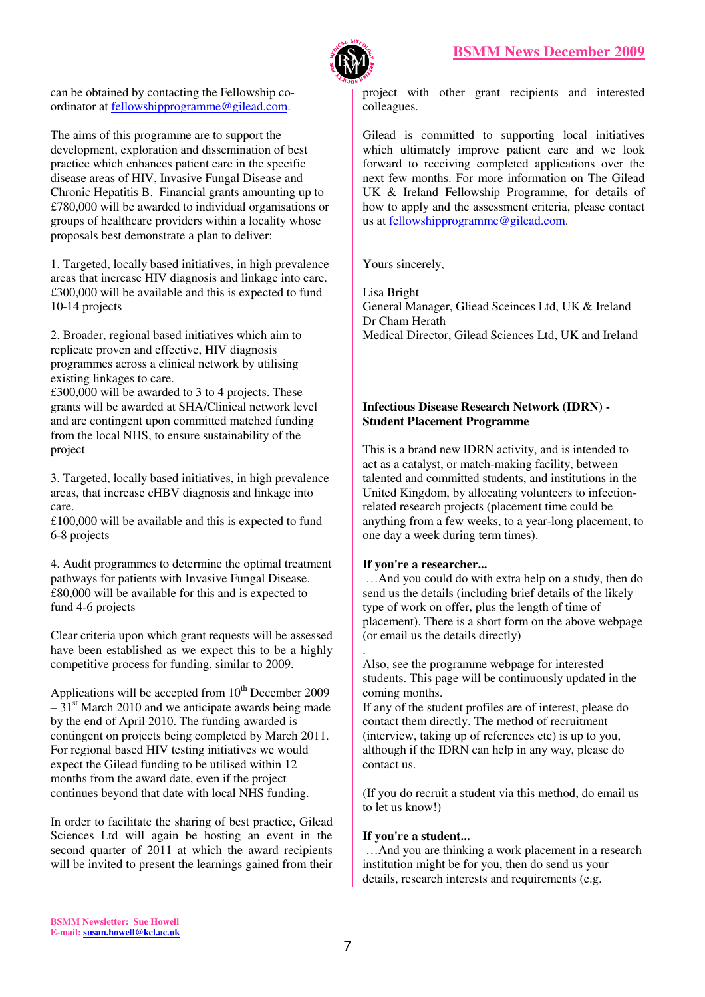

can be obtained by contacting the Fellowship coordinator at fellowshipprogramme@gilead.com.

The aims of this programme are to support the development, exploration and dissemination of best practice which enhances patient care in the specific disease areas of HIV, Invasive Fungal Disease and Chronic Hepatitis B. Financial grants amounting up to £780,000 will be awarded to individual organisations or groups of healthcare providers within a locality whose proposals best demonstrate a plan to deliver:

1. Targeted, locally based initiatives, in high prevalence areas that increase HIV diagnosis and linkage into care. £300,000 will be available and this is expected to fund 10-14 projects

2. Broader, regional based initiatives which aim to replicate proven and effective, HIV diagnosis programmes across a clinical network by utilising existing linkages to care.

£300,000 will be awarded to 3 to 4 projects. These grants will be awarded at SHA/Clinical network level and are contingent upon committed matched funding from the local NHS, to ensure sustainability of the project

3. Targeted, locally based initiatives, in high prevalence areas, that increase cHBV diagnosis and linkage into care.

£100,000 will be available and this is expected to fund 6-8 projects

4. Audit programmes to determine the optimal treatment pathways for patients with Invasive Fungal Disease. £80,000 will be available for this and is expected to fund 4-6 projects

Clear criteria upon which grant requests will be assessed have been established as we expect this to be a highly competitive process for funding, similar to 2009.

Applications will be accepted from  $10<sup>th</sup>$  December 2009  $-31<sup>st</sup>$  March 2010 and we anticipate awards being made by the end of April 2010. The funding awarded is contingent on projects being completed by March 2011. For regional based HIV testing initiatives we would expect the Gilead funding to be utilised within 12 months from the award date, even if the project continues beyond that date with local NHS funding.

In order to facilitate the sharing of best practice, Gilead Sciences Ltd will again be hosting an event in the second quarter of 2011 at which the award recipients will be invited to present the learnings gained from their project with other grant recipients and interested colleagues.

Gilead is committed to supporting local initiatives which ultimately improve patient care and we look forward to receiving completed applications over the next few months. For more information on The Gilead UK & Ireland Fellowship Programme, for details of how to apply and the assessment criteria, please contact us at fellowshipprogramme@gilead.com.

Yours sincerely,

Lisa Bright General Manager, Gliead Sceinces Ltd, UK & Ireland Dr Cham Herath Medical Director, Gilead Sciences Ltd, UK and Ireland

# **Infectious Disease Research Network (IDRN) - Student Placement Programme**

This is a brand new IDRN activity, and is intended to act as a catalyst, or match-making facility, between talented and committed students, and institutions in the United Kingdom, by allocating volunteers to infectionrelated research projects (placement time could be anything from a few weeks, to a year-long placement, to one day a week during term times).

# **If you're a researcher...**

 …And you could do with extra help on a study, then do send us the details (including brief details of the likely type of work on offer, plus the length of time of placement). There is a short form on the above webpage (or email us the details directly)

. Also, see the programme webpage for interested students. This page will be continuously updated in the coming months.

If any of the student profiles are of interest, please do contact them directly. The method of recruitment (interview, taking up of references etc) is up to you, although if the IDRN can help in any way, please do contact us.

(If you do recruit a student via this method, do email us to let us know!)

# **If you're a student...**

 …And you are thinking a work placement in a research institution might be for you, then do send us your details, research interests and requirements (e.g.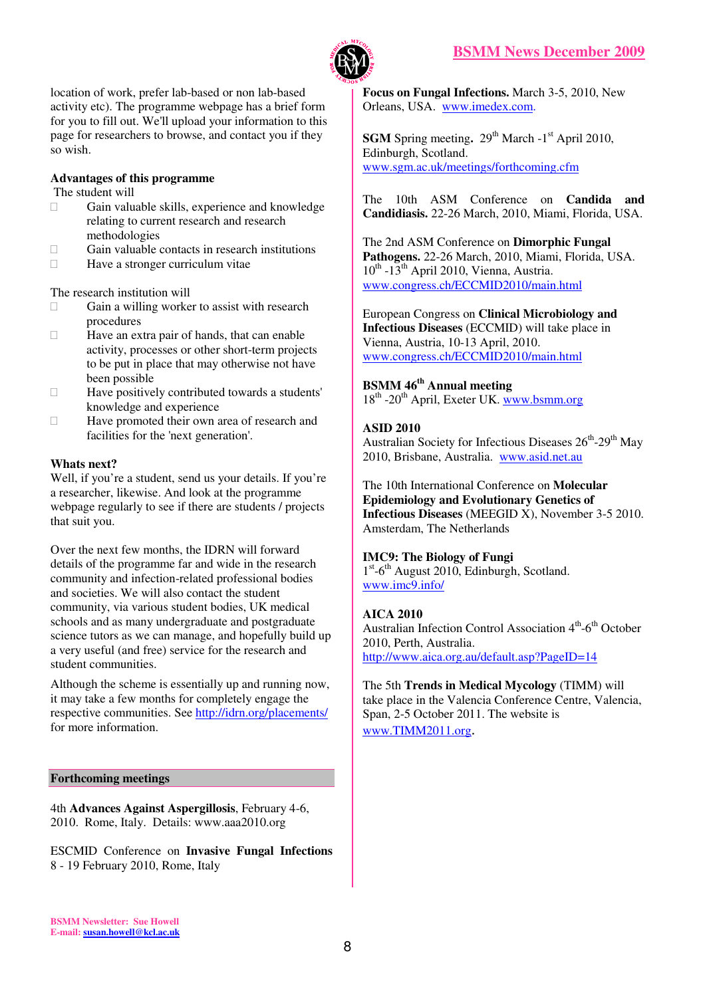

location of work, prefer lab-based or non lab-based activity etc). The programme webpage has a brief form for you to fill out. We'll upload your information to this page for researchers to browse, and contact you if they so wish.

# **Advantages of this programme**

The student will

 Gain valuable skills, experience and knowledge relating to current research and research

methodologies

 Gain valuable contacts in research institutions Have a stronger curriculum vitae

The research institution will

 Gain a willing worker to assist with research procedures

 Have an extra pair of hands, that can enable activity, processes or other short-term projects to be put in place that may otherwise not have been possible

 Have positively contributed towards a students' knowledge and experience

 Have promoted their own area of research and facilities for the 'next generation'.

# **Whats next?**

Well, if you're a student, send us your details. If you're a researcher, likewise. And look at the programme webpage regularly to see if there are students / projects that suit you.

Over the next few months, the IDRN will forward details of the programme far and wide in the research community and infection-related professional bodies and societies. We will also contact the student community, via various student bodies, UK medical schools and as many undergraduate and postgraduate science tutors as we can manage, and hopefully build up a very useful (and free) service for the research and student communities.

Although the scheme is essentially up and running now, it may take a few months for completely engage the respective communities. See http://idrn.org/placements/ for more information.

# **Forthcoming meetings**

4th **Advances Against Aspergillosis**, February 4-6, 2010. Rome, Italy. Details: www.aaa2010.org

ESCMID Conference on **Invasive Fungal Infections** 8 - 19 February 2010, Rome, Italy

**Focus on Fungal Infections.** March 3-5, 2010, New Orleans, USA. www.imedex.com.

**SGM** Spring meeting,  $29<sup>th</sup>$  March  $-1<sup>st</sup>$  April 2010, Edinburgh, Scotland. www.sgm.ac.uk/meetings/forthcoming.cfm

The 10th ASM Conference on **Candida and Candidiasis.** 22-26 March, 2010, Miami, Florida, USA.

The 2nd ASM Conference on **Dimorphic Fungal Pathogens.** 22-26 March, 2010, Miami, Florida, USA.  $10^{th}$  -13<sup>th</sup> April 2010, Vienna, Austria. www.congress.ch/ECCMID2010/main.html

European Congress on **Clinical Microbiology and Infectious Diseases** (ECCMID) will take place in Vienna, Austria, 10-13 April, 2010. www.congress.ch/ECCMID2010/main.html

# **BSMM 46th Annual meeting**

18<sup>th</sup> -20<sup>th</sup> April, Exeter UK. www.bsmm.org

# **ASID 2010**

Australian Society for Infectious Diseases  $26<sup>th</sup> - 29<sup>th</sup>$  May 2010, Brisbane, Australia. www.asid.net.au

The 10th International Conference on **Molecular Epidemiology and Evolutionary Genetics of Infectious Diseases** (MEEGID X), November 3-5 2010. Amsterdam, The Netherlands

# **IMC9: The Biology of Fungi**

1<sup>st</sup>-6<sup>th</sup> August 2010, Edinburgh, Scotland. www.imc9.info/

# **AICA 2010**

Australian Infection Control Association  $4<sup>th</sup>$ -6<sup>th</sup> October 2010, Perth, Australia. http://www.aica.org.au/default.asp?PageID=14

The 5th **Trends in Medical Mycology** (TIMM) will take place in the Valencia Conference Centre, Valencia, Span, 2-5 October 2011. The website is www.TIMM2011.org.